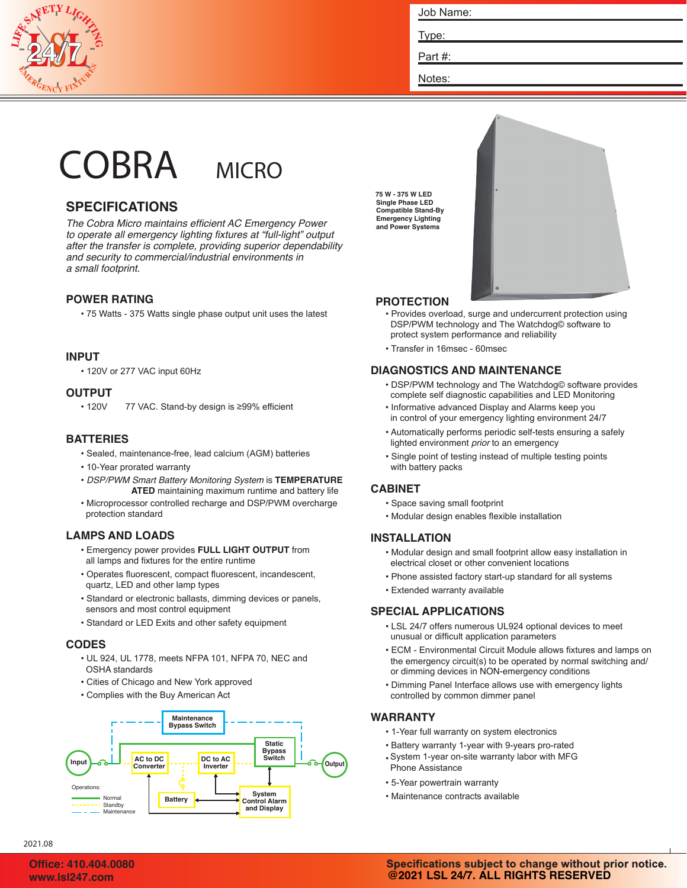

Job Name:

Type:

Part #:

Notes:

# COBRA MICRO



# **SPECIFICATIONS**

*The Cobra Micro maintains efficient AC Emergency Power to operate all emergency lighting fixtures at "full-light" output after the transfer is complete, providing superior dependability and security to commercial/industrial environments in a small footprint.*

# **POWER RATING**

• 75 Watts - 375 Watts single phase output unit uses the latest

# **INPUT**

• 120V or 277 VAC input 60Hz

## **OUTPUT**

• 120V 77 VAC. Stand-by design is ≥99% efficient

# **BATTERIES**

- Sealed, maintenance-free, lead calcium (AGM) batteries
- 10-Year prorated warranty
- *DSP/PWM Smart Battery Monitoring System* is **TEMPERATURE ATED** maintaining maximum runtime and battery life
- Microprocessor controlled recharge and DSP/PWM overcharge protection standard

# **LAMPS AND LOADS**

- Emergency power provides **FULL LIGHT OUTPUT** from all lamps and fixtures for the entire runtime
- Operates fluorescent, compact fluorescent, incandescent, quartz, LED and other lamp types
- Standard or electronic ballasts, dimming devices or panels, sensors and most control equipment
- Standard or LED Exits and other safety equipment

# **CODES**

- UL 924, UL 1778, meets NFPA 101, NFPA 70, NEC and OSHA standards
- Cities of Chicago and New York approved
- Complies with the Buy American Act



**75 W - 375 W LED Single Phase LED Compatible Stand-By Emergency Lighting and Power Systems**



# **PROTECTION**

- Provides overload, surge and undercurrent protection using DSP/PWM technology and The Watchdog© software to protect system performance and reliability
- Transfer in 16msec 60msec

# **DIAGNOSTICS AND MAINTENANCE**

- DSP/PWM technology and The Watchdog© software provides complete self diagnostic capabilities and LED Monitoring
- Informative advanced Display and Alarms keep you in control of your emergency lighting environment 24/7
- Automatically performs periodic self-tests ensuring a safely lighted environment *prior* to an emergency
- Single point of testing instead of multiple testing points with battery packs

## **CABINET**

- Space saving small footprint
- Modular design enables flexible installation

## **INSTALLATION**

- Modular design and small footprint allow easy installation in electrical closet or other convenient locations
- Phone assisted factory start-up standard for all systems
- Extended warranty available

## **SPECIAL APPLICATIONS**

- LSL 24/7 offers numerous UL924 optional devices to meet unusual or difficult application parameters
- ECM Environmental Circuit Module allows fixtures and lamps on the emergency circuit(s) to be operated by normal switching and/ or dimming devices in NON-emergency conditions
- Dimming Panel Interface allows use with emergency lights controlled by common dimmer panel

# **WARRANTY**

- 1 -Year full warranty on system electronics
- Battery warranty 1-year with 9-years pro-rated
- System 1-year on-site warranty labor with MFG Phone Assistance
- 5 -Year powertrain warranty
- Maintenance contracts available

2021.08